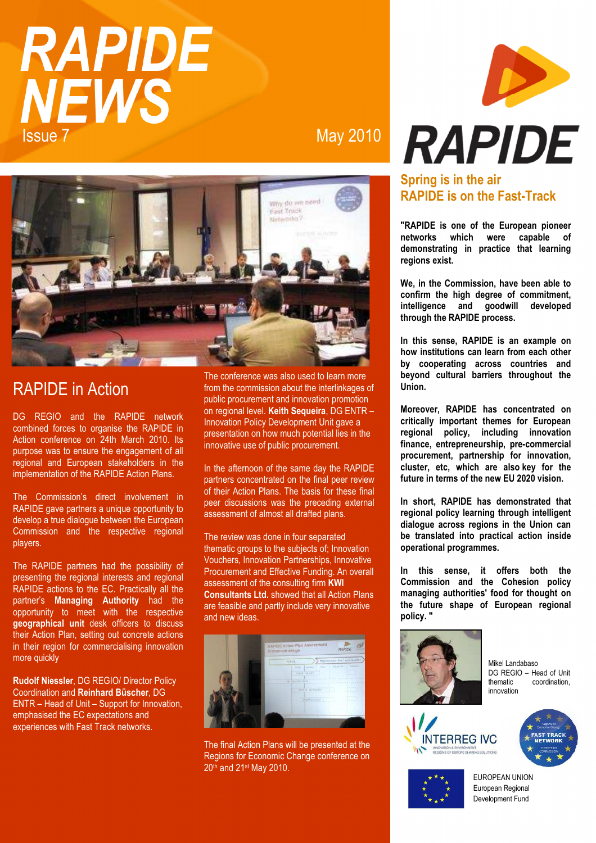# **RAPIDE NEWS Issue 7**

**May 2010** 



## **RAPIDE** in Action

DG REGIO and the RAPIDE network combined forces to organise the RAPIDE in Action conference on 24th March 2010. Its purpose was to ensure the engagement of all regional and European stakeholders in the implementation of the RAPIDE Action Plans.

The Commission's direct involvement in RAPIDE gave partners a unique opportunity to develop a true dialogue between the European Commission and the respective regional players.

The RAPIDE partners had the possibility of presenting the regional interests and regional RAPIDE actions to the EC. Practically all the partner's **Managing Authority** had the<br>opportunity to meet with the respective geographical unit desk officers to discuss their Action Plan, setting out concrete actions in their region for commercialising innovation more quickly

Rudolf Niessler, DG REGIO/ Director Policy Coordination and Reinhard Büscher, DG ENTR - Head of Unit - Support for Innovation, emphasised the EC expectations and experiences with Fast Track networks.

The conference was also used to learn more from the commission about the interlinkages of public procurement and innovation promotion on regional level. Keith Sequeira, DG ENTR -Innovation Policy Development Unit gave a presentation on how much potential lies in the innovative use of public procurement.

In the afternoon of the same day the RAPIDE partners concentrated on the final peer review of their Action Plans. The basis for these final peer discussions was the preceding external assessment of almost all drafted plans.

The review was done in four separated thematic groups to the subjects of: Innovation Vouchers, Innovation Partnerships, Innovative Procurement and Effective Funding. An overall assessment of the consulting firm KWI **Consultants Ltd.** showed that all Action Plans are feasible and partly include very innovative and new ideas.



The final Action Plans will be presented at the Regions for Economic Change conference on 20th and 21st May 2010.



## Spring is in the air **RAPIDE** is on the Fast-Track

"RAPIDE is one of the European pioneer networks which were capable of demonstrating in practice that learning regions exist.

We, in the Commission, have been able to confirm the high degree of commitment, intelligence and goodwill developed through the RAPIDE process.

In this sense. RAPIDE is an example on how institutions can learn from each other by cooperating across countries and bevond cultural barriers throughout the Union.

Moreover, RAPIDE has concentrated on critically important themes for European policy, including innovation regional finance, entrepreneurship, pre-commercial procurement, partnership for innovation, cluster, etc. which are also key for the future in terms of the new EU 2020 vision.

In short, RAPIDE has demonstrated that regional policy learning through intelligent dialoque across regions in the Union can be translated into practical action inside operational programmes.

In this sense, it offers both the Commission and the Cohesion policy managing authorities' food for thought on the future shape of European regional policy."



Mikel Landabaso DG REGIO - Head of Unit thematic coordination innovation







EUROPEAN UNION European Regional Development Fund